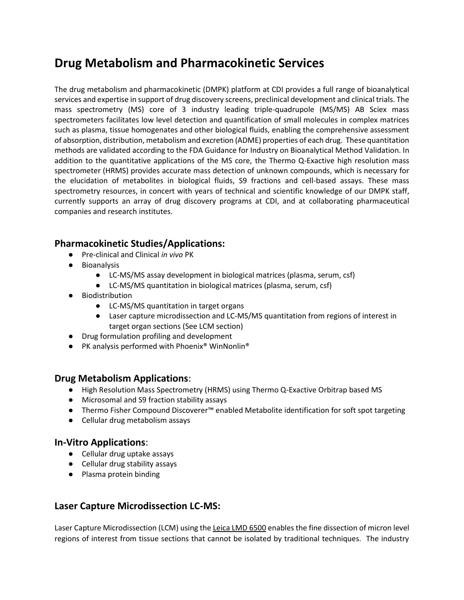# **Drug Metabolism and Pharmacokinetic Services**

The drug metabolism and pharmacokinetic (DMPK) platform at CDI provides a full range of bioanalytical services and expertise in support of drug discovery screens, preclinical development and clinical trials. The mass spectrometry (MS) core of 3 industry leading triple-quadrupole (MS/MS) AB Sciex mass spectrometers facilitates low level detection and quantification of small molecules in complex matrices such as plasma, tissue homogenates and other biological fluids, enabling the comprehensive assessment of absorption, distribution, metabolism and excretion (ADME) properties of each drug. These quantitation methods are validated according to the FDA Guidance for Industry on Bioanalytical Method Validation. In addition to the quantitative applications of the MS core, the Thermo Q-Exactive high resolution mass spectrometer (HRMS) provides accurate mass detection of unknown compounds, which is necessary for the elucidation of metabolites in biological fluids, S9 fractions and cell-based assays. These mass spectrometry resources, in concert with years of technical and scientific knowledge of our DMPK staff, currently supports an array of drug discovery programs at CDI, and at collaborating pharmaceutical companies and research institutes.

# **Pharmacokinetic Studies/Applications:**

- Pre-clinical and Clinical *in vivo* PK
- Bioanalysis
	- LC-MS/MS assay development in biological matrices (plasma, serum, csf)
	- LC-MS/MS quantitation in biological matrices (plasma, serum, csf)
- Biodistribution
	- LC-MS/MS quantitation in target organs
	- Laser capture microdissection and LC-MS/MS quantitation from regions of interest in target organ sections (See LCM section)
- Drug formulation profiling and development
- PK analysis performed with Phoenix® WinNonlin®

### **Drug Metabolism Applications**:

- High Resolution Mass Spectrometry (HRMS) using Thermo Q-Exactive Orbitrap based MS
- Microsomal and S9 fraction stability assays
- Thermo Fisher Compound Discoverer™ enabled Metabolite identification for soft spot targeting
- Cellular drug metabolism assays

### **In-Vitro Applications**:

- Cellular drug uptake assays
- Cellular drug stability assays
- Plasma protein binding

# **Laser Capture Microdissection LC-MS:**

Laser Capture Microdissection (LCM) using the [Leica LMD 6500](https://www.leica-microsystems.com/products/light-microscopes/p/leica-lmd7000/) enables the fine dissection of micron level regions of interest from tissue sections that cannot be isolated by traditional techniques. The industry